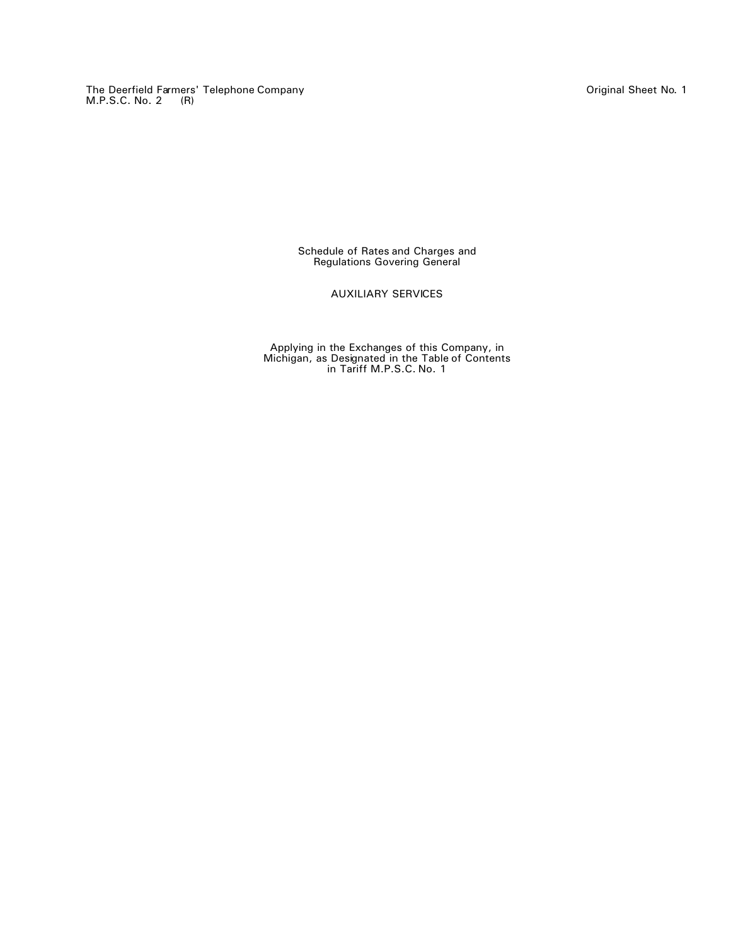The Deerfield Farmers' Telephone Company Original Sheet No. 1 M.P.S.C. No. 2 (R)

Schedule of Rates and Charges and Regulations Govering General

AUXILIARY SERVICES

Applying in the Exchanges of this Company, in Michigan, as Designated in the Table of Contents in Tariff M.P.S.C. No. 1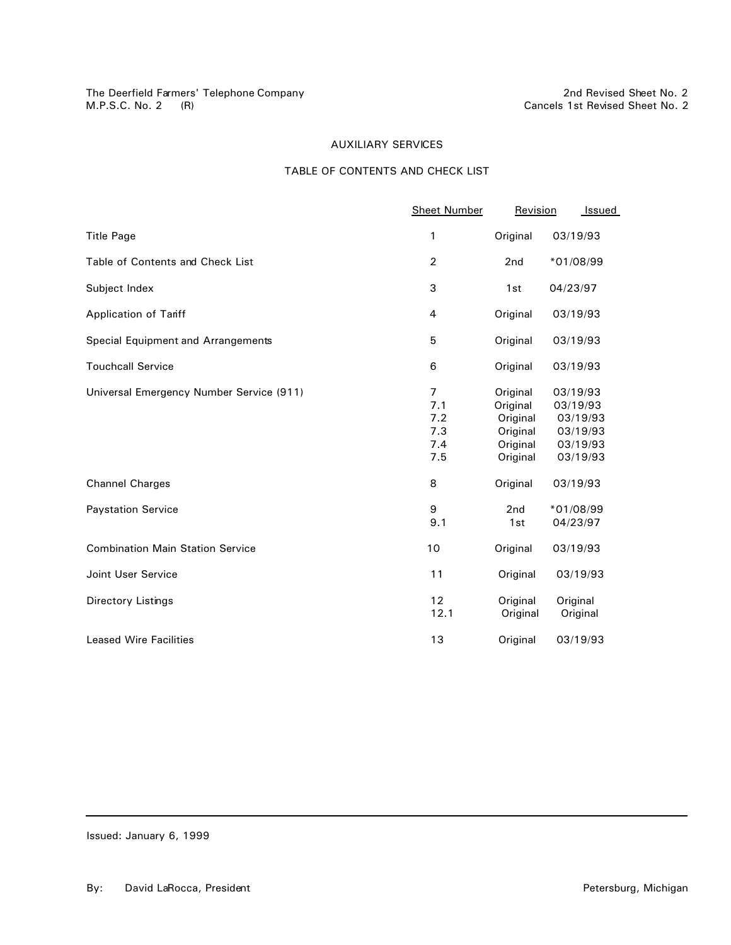# TABLE OF CONTENTS AND CHECK LIST

|                                          | <b>Sheet Number</b>                               | Revision                                                             | Issued                                                               |
|------------------------------------------|---------------------------------------------------|----------------------------------------------------------------------|----------------------------------------------------------------------|
| <b>Title Page</b>                        | 1                                                 | Original                                                             | 03/19/93                                                             |
| Table of Contents and Check List         | $\overline{2}$                                    | 2nd                                                                  | *01/08/99                                                            |
| Subject Index                            | 3                                                 | 1st                                                                  | 04/23/97                                                             |
| <b>Application of Tariff</b>             | 4                                                 | Original                                                             | 03/19/93                                                             |
| Special Equipment and Arrangements       | 5                                                 | Original                                                             | 03/19/93                                                             |
| <b>Touchcall Service</b>                 | 6                                                 | Original                                                             | 03/19/93                                                             |
| Universal Emergency Number Service (911) | $\overline{7}$<br>7.1<br>7.2<br>7.3<br>7.4<br>7.5 | Original<br>Original<br>Original<br>Original<br>Original<br>Original | 03/19/93<br>03/19/93<br>03/19/93<br>03/19/93<br>03/19/93<br>03/19/93 |
| <b>Channel Charges</b>                   | 8                                                 | Original                                                             | 03/19/93                                                             |
| <b>Paystation Service</b>                | 9<br>9.1                                          | 2nd<br>1st                                                           | *01/08/99<br>04/23/97                                                |
| <b>Combination Main Station Service</b>  | 10                                                | Original                                                             | 03/19/93                                                             |
| <b>Joint User Service</b>                | 11                                                | Original                                                             | 03/19/93                                                             |
| Directory Listings                       | 12<br>12.1                                        | Original<br>Original                                                 | Original<br>Original                                                 |
| <b>Leased Wire Facilities</b>            | 13                                                | Original                                                             | 03/19/93                                                             |

Issued: January 6, 1999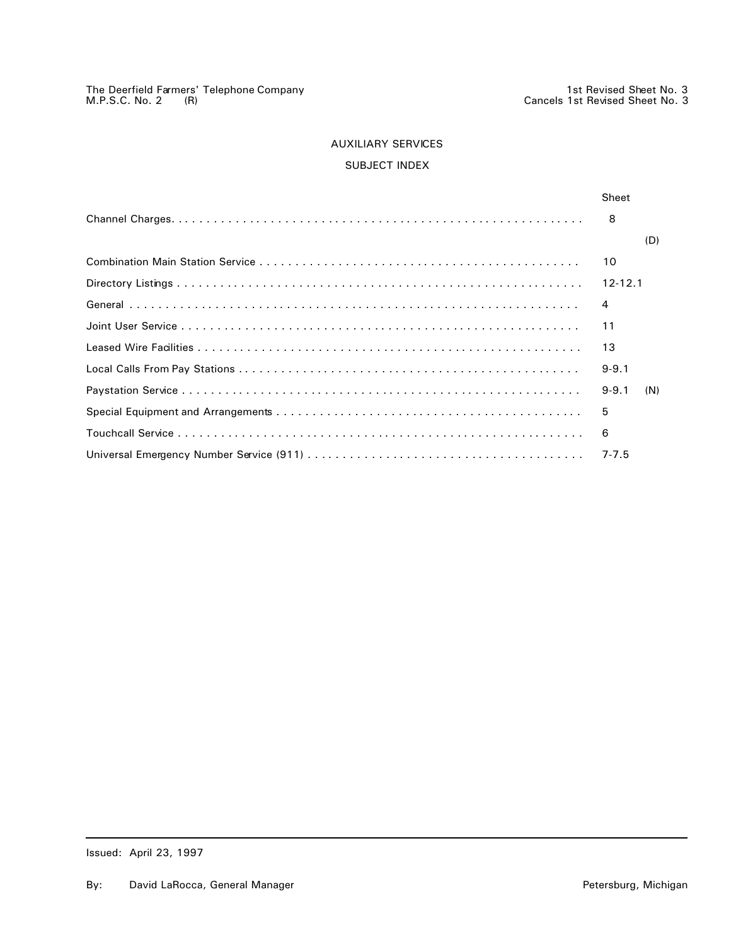# SUBJECT INDEX

| Sheet       |     |
|-------------|-----|
| 8           |     |
|             | (D) |
| 10          |     |
| $12 - 12.1$ |     |
| 4           |     |
| 11          |     |
| 13          |     |
| $9 - 9.1$   |     |
| $9 - 9.1$   | (N) |
| 5           |     |
| 6           |     |
| $7 - 7.5$   |     |
|             |     |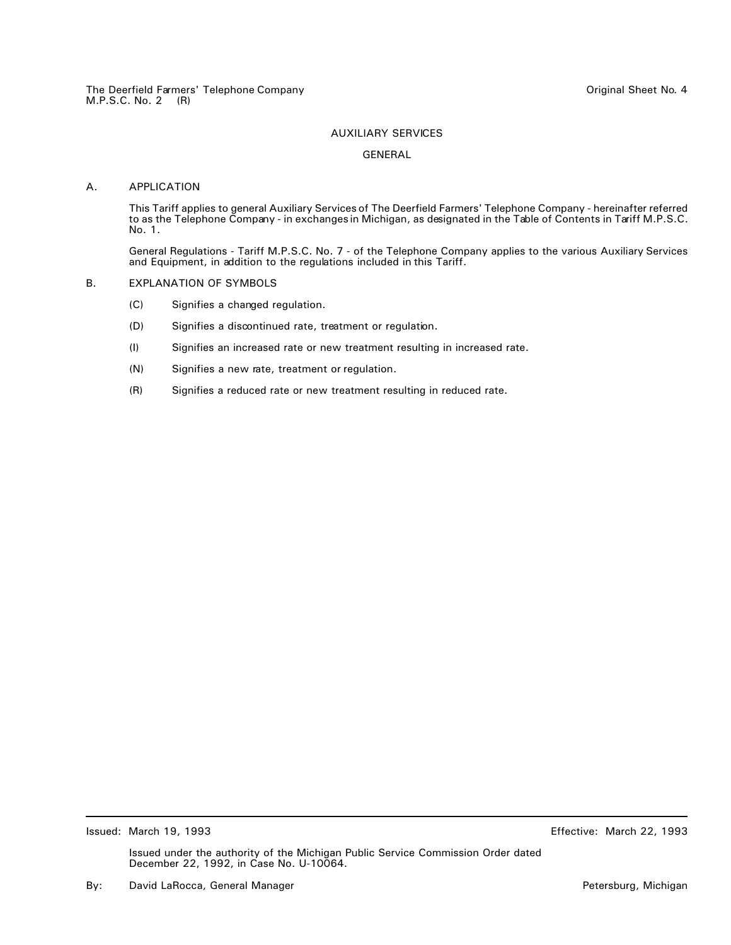#### GENERAL

## A. APPLICATION

This Tariff applies to general Auxiliary Services of The Deerfield Farmers' Telephone Company - hereinafter referred to as the Telephone Company - in exchanges in Michigan, as designated in the Table of Contents in Tariff M.P.S.C. No. 1.

General Regulations - Tariff M.P.S.C. No. 7 - of the Telephone Company applies to the various Auxiliary Services and Equipment, in addition to the regulations included in this Tariff.

#### B. EXPLANATION OF SYMBOLS

- (C) Signifies a changed regulation.
- (D) Signifies a discontinued rate, treatment or regulation.
- (I) Signifies an increased rate or new treatment resulting in increased rate.
- (N) Signifies a new rate, treatment or regulation.
- (R) Signifies a reduced rate or new treatment resulting in reduced rate.

Issued: March 19, 1993 Effective: March 22, 1993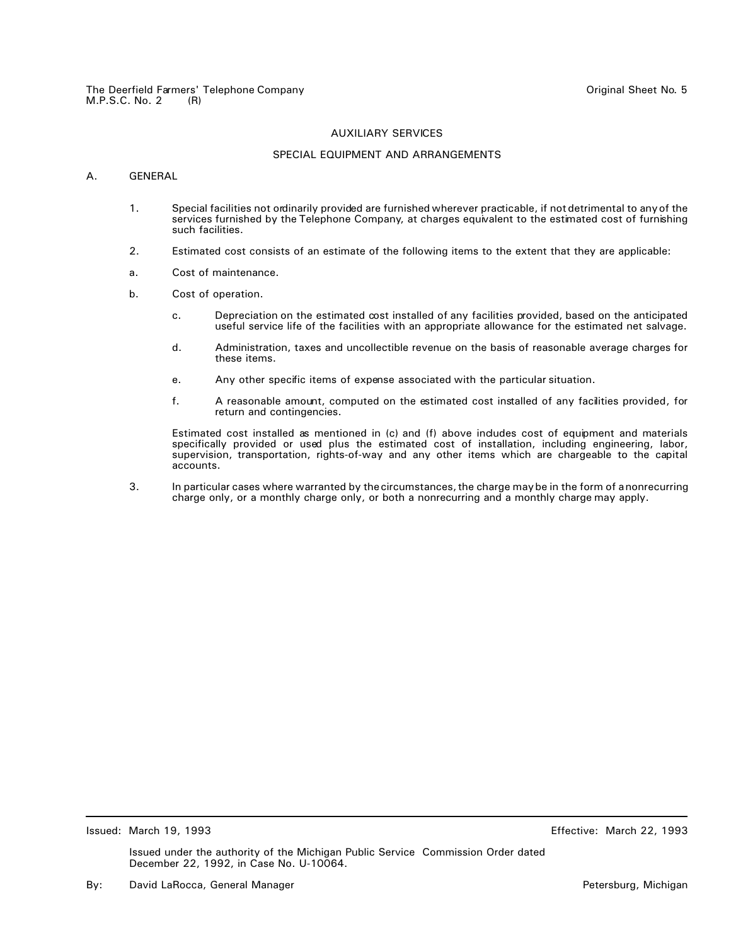## SPECIAL EQUIPMENT AND ARRANGEMENTS

## A. GENERAL

- 1. Special facilities not ordinarily provided are furnished wherever practicable, if not detrimental to any of the services furnished by the Telephone Company, at charges equivalent to the estimated cost of furnishing such facilities.
- 2. Estimated cost consists of an estimate of the following items to the extent that they are applicable:
- a. Cost of maintenance.
- b. Cost of operation.
	- c. Depreciation on the estimated cost installed of any facilities provided, based on the anticipated useful service life of the facilities with an appropriate allowance for the estimated net salvage.
	- d. Administration, taxes and uncollectible revenue on the basis of reasonable average charges for these items.
	- e. Any other specific items of expense associated with the particular situation.
	- f. A reasonable amount, computed on the estimated cost installed of any facilities provided, for return and contingencies.

Estimated cost installed as mentioned in (c) and (f) above includes cost of equipment and materials specifically provided or used plus the estimated cost of installation, including engineering, labor, supervision, transportation, rights-of-way and any other items which are chargeable to the capital accounts.

3. In particular cases where warranted by the circumstances, the charge may be in the form of a nonrecurring charge only, or a monthly charge only, or both a nonrecurring and a monthly charge may apply.

Issued: March 19, 1993 Effective: March 22, 1993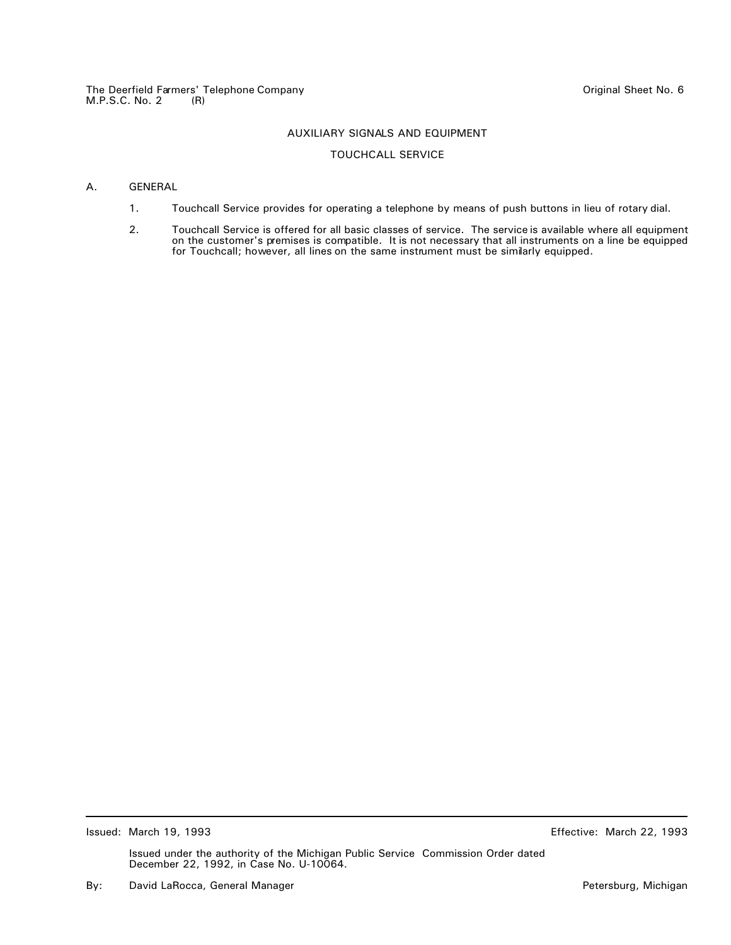## AUXILIARY SIGNALS AND EQUIPMENT

## TOUCHCALL SERVICE

## A. GENERAL

- 1. Touchcall Service provides for operating a telephone by means of push buttons in lieu of rotary dial.
- 2. Touchcall Service is offered for all basic classes of service. The service is available where all equipment on the customer's premises is compatible. It is not necessary that all instruments on a line be equipped for Touchcall; however, all lines on the same instrument must be similarly equipped.

Issued: March 19, 1993 Effective: March 22, 1993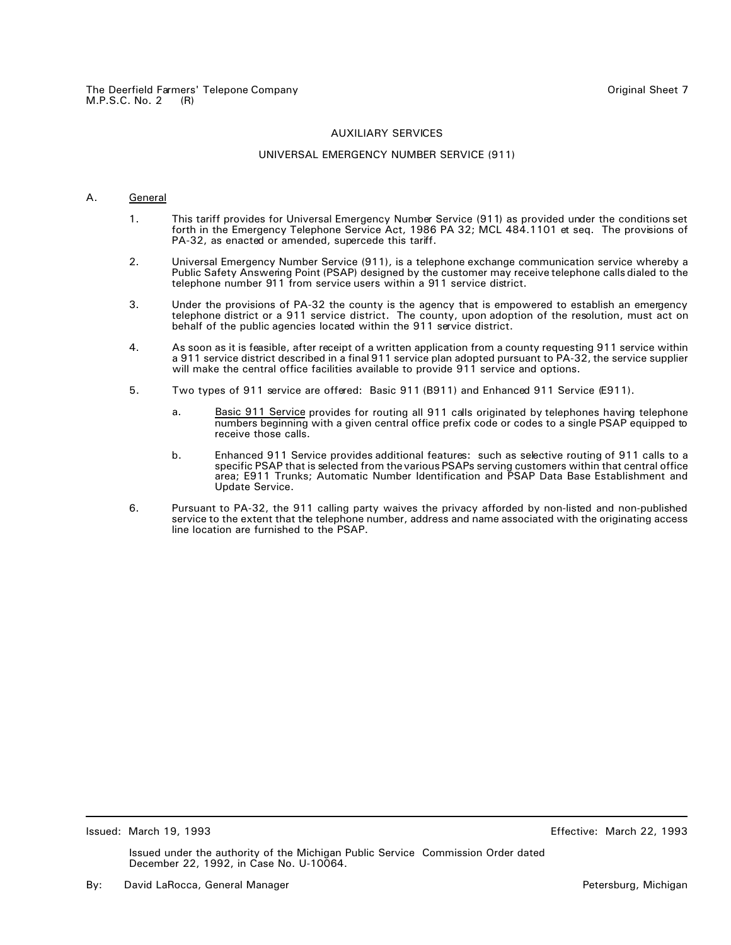#### UNIVERSAL EMERGENCY NUMBER SERVICE (911)

#### A. General

- 1. This tariff provides for Universal Emergency Number Service (911) as provided under the conditions set forth in the Emergency Telephone Service Act, 1986 PA 32; MCL 484.1101 et seq. The provisions of PA-32, as enacted or amended, supercede this tariff.
- 2. Universal Emergency Number Service (911), is a telephone exchange communication service whereby a Public Safety Answering Point (PSAP) designed by the customer may receive telephone calls dialed to the telephone number 911 from service users within a 911 service district.
- 3. Under the provisions of PA-32 the county is the agency that is empowered to establish an emergency telephone district or a 911 service district. The county, upon adoption of the resolution, must act on behalf of the public agencies located within the 911 service district.
- 4. As soon as it is feasible, after receipt of a written application from a county requesting 911 service within a 911 service district described in a final 911 service plan adopted pursuant to PA-32, the service supplier will make the central office facilities available to provide 911 service and options.
- 5. Two types of 911 service are offered: Basic 911 (B911) and Enhanced 911 Service (E911).
	- a. Basic 911 Service provides for routing all 911 calls originated by telephones having telephone numbers beginning with a given central office prefix code or codes to a single PSAP equipped to receive those calls.
	- b. Enhanced 911 Service provides additional features: such as selective routing of 911 calls to a specific PSAP that is selected from the various PSAPs serving customers within that central office area; E911 Trunks; Automatic Number Identification and PSAP Data Base Establishment and Update Service.
- 6. Pursuant to PA-32, the 911 calling party waives the privacy afforded by non-listed and non-published service to the extent that the telephone number, address and name associated with the originating access line location are furnished to the PSAP.

Issued: March 19, 1993 Effective: March 22, 1993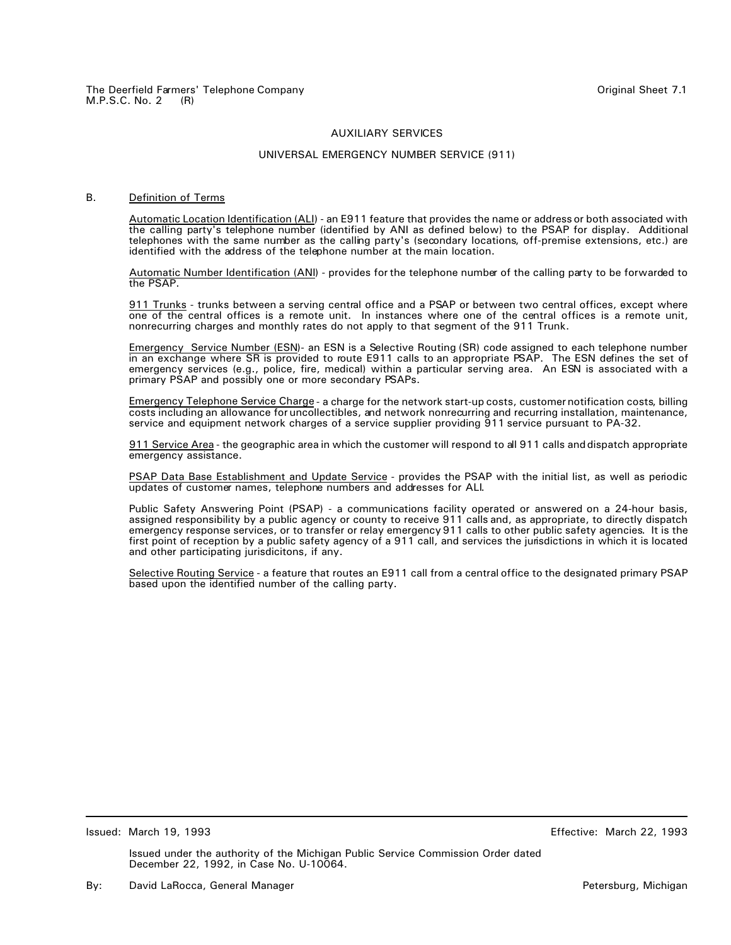## UNIVERSAL EMERGENCY NUMBER SERVICE (911)

## B. Definition of Terms

Automatic Location Identification (ALI) - an E911 feature that provides the name or address or both associated with the calling party's telephone number (identified by ANI as defined below) to the PSAP for display. Additional telephones with the same number as the calling party's (secondary locations, off-premise extensions, etc.) are identified with the address of the telephone number at the main location.

Automatic Number Identification (ANI) - provides for the telephone number of the calling party to be forwarded to the PSAP.

911 Trunks - trunks between a serving central office and a PSAP or between two central offices, except where one of the central offices is a remote unit. In instances where one of the central offices is a remote unit, nonrecurring charges and monthly rates do not apply to that segment of the 911 Trunk.

Emergency Service Number (ESN)- an ESN is a Selective Routing (SR) code assigned to each telephone number in an exchange where SR is provided to route E911 calls to an appropriate PSAP. The ESN defines the set of emergency services (e.g., police, fire, medical) within a particular serving area. An ESN is associated with a primary PSAP and possibly one or more secondary PSAPs.

Emergency Telephone Service Charge - a charge for the network start-up costs, customer notification costs, billing costs including an allowance for uncollectibles, and network nonrecurring and recurring installation, maintenance, service and equipment network charges of a service supplier providing 911 service pursuant to PA-32.

911 Service Area - the geographic area in which the customer will respond to all 911 calls and dispatch appropriate emergency assistance.

PSAP Data Base Establishment and Update Service - provides the PSAP with the initial list, as well as periodic updates of customer names, telephone numbers and addresses for ALI.

Public Safety Answering Point (PSAP) - a communications facility operated or answered on a 24-hour basis, assigned responsibility by a public agency or county to receive 911 calls and, as appropriate, to directly dispatch emergency response services, or to transfer or relay emergency 911 calls to other public safety agencies. It is the first point of reception by a public safety agency of a 911 call, and services the jurisdictions in which it is located and other participating jurisdicitons, if any.

Selective Routing Service - a feature that routes an E911 call from a central office to the designated primary PSAP based upon the identified number of the calling party.

Issued: March 19, 1993 Effective: March 22, 1993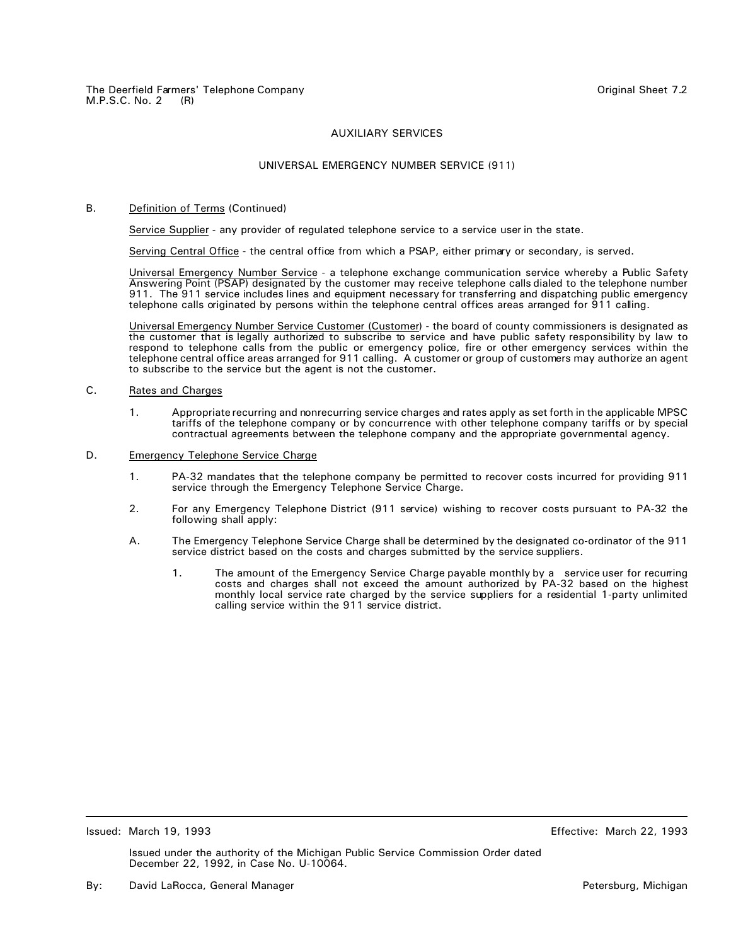## UNIVERSAL EMERGENCY NUMBER SERVICE (911)

## B. Definition of Terms (Continued)

Service Supplier - any provider of regulated telephone service to a service user in the state.

Serving Central Office - the central office from which a PSAP, either primary or secondary, is served.

Universal Emergency Number Service - a telephone exchange communication service whereby a Public Safety Answering Point (PSAP) designated by the customer may receive telephone calls dialed to the telephone number 911. The 911 service includes lines and equipment necessary for transferring and dispatching public emergency telephone calls originated by persons within the telephone central offices areas arranged for 911 calling.

Universal Emergency Number Service Customer (Customer) - the board of county commissioners is designated as the customer that is legally authorized to subscribe to service and have public safety responsibility by law to respond to telephone calls from the public or emergency police, fire or other emergency services within the telephone central office areas arranged for 911 calling. A customer or group of customers may authorize an agent to subscribe to the service but the agent is not the customer.

## C. Rates and Charges

- 1. Appropriate recurring and nonrecurring service charges and rates apply as set forth in the applicable MPSC tariffs of the telephone company or by concurrence with other telephone company tariffs or by special contractual agreements between the telephone company and the appropriate governmental agency.
- D. Emergency Telephone Service Charge
	- 1. PA-32 mandates that the telephone company be permitted to recover costs incurred for providing 911 service through the Emergency Telephone Service Charge.
	- 2. For any Emergency Telephone District (911 service) wishing to recover costs pursuant to PA-32 the following shall apply:
	- A. The Emergency Telephone Service Charge shall be determined by the designated co-ordinator of the 911 service district based on the costs and charges submitted by the service suppliers.
		- 1. The amount of the Emergency Service Charge payable monthly by a service user for recurring costs and charges shall not exceed the amount authorized by PA-32 based on the highest monthly local service rate charged by the service suppliers for a residential 1-party unlimited calling service within the 911 service district.

Issued: March 19, 1993 Effective: March 22, 1993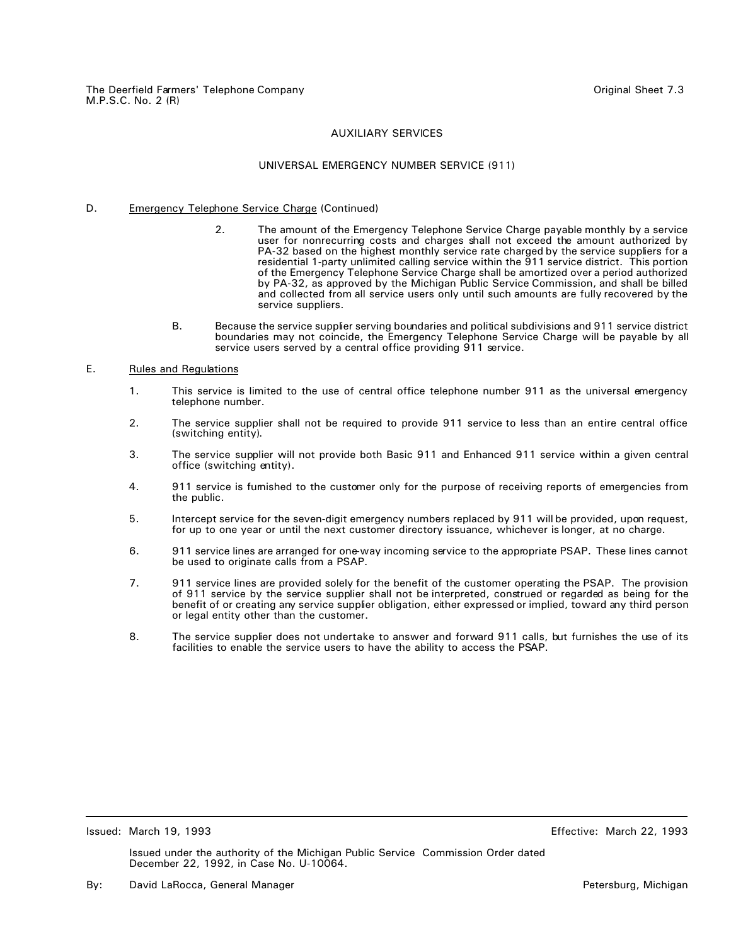## UNIVERSAL EMERGENCY NUMBER SERVICE (911)

## D. Emergency Telephone Service Charge (Continued)

- 2. The amount of the Emergency Telephone Service Charge payable monthly by a service user for nonrecurring costs and charges shall not exceed the amount authorized by PA-32 based on the highest monthly service rate charged by the service suppliers for a residential 1-party unlimited calling service within the 911 service district. This portion of the Emergency Telephone Service Charge shall be amortized over a period authorized by PA-32, as approved by the Michigan Public Service Commission, and shall be billed and collected from all service users only until such amounts are fully recovered by the service suppliers.
- B. Because the service supplier serving boundaries and political subdivisions and 911 service district boundaries may not coincide, the Emergency Telephone Service Charge will be payable by all service users served by a central office providing 911 service.

## E. Rules and Regulations

- 1. This service is limited to the use of central office telephone number 911 as the universal emergency telephone number.
- 2. The service supplier shall not be required to provide 911 service to less than an entire central office (switching entity).
- 3. The service supplier will not provide both Basic 911 and Enhanced 911 service within a given central office (switching entity).
- 4. 911 service is furnished to the customer only for the purpose of receiving reports of emergencies from the public.
- 5. Intercept service for the seven-digit emergency numbers replaced by 911 will be provided, upon request, for up to one year or until the next customer directory issuance, whichever is longer, at no charge.
- 6. 911 service lines are arranged for one-way incoming service to the appropriate PSAP. These lines cannot be used to originate calls from a PSAP.
- 7. 911 service lines are provided solely for the benefit of the customer operating the PSAP. The provision of 911 service by the service supplier shall not be interpreted, construed or regarded as being for the benefit of or creating any service supplier obligation, either expressed or implied, toward any third person or legal entity other than the customer.
- 8. The service supplier does not undertake to answer and forward 911 calls, but furnishes the use of its facilities to enable the service users to have the ability to access the PSAP.

Issued: March 19, 1993 Effective: March 22, 1993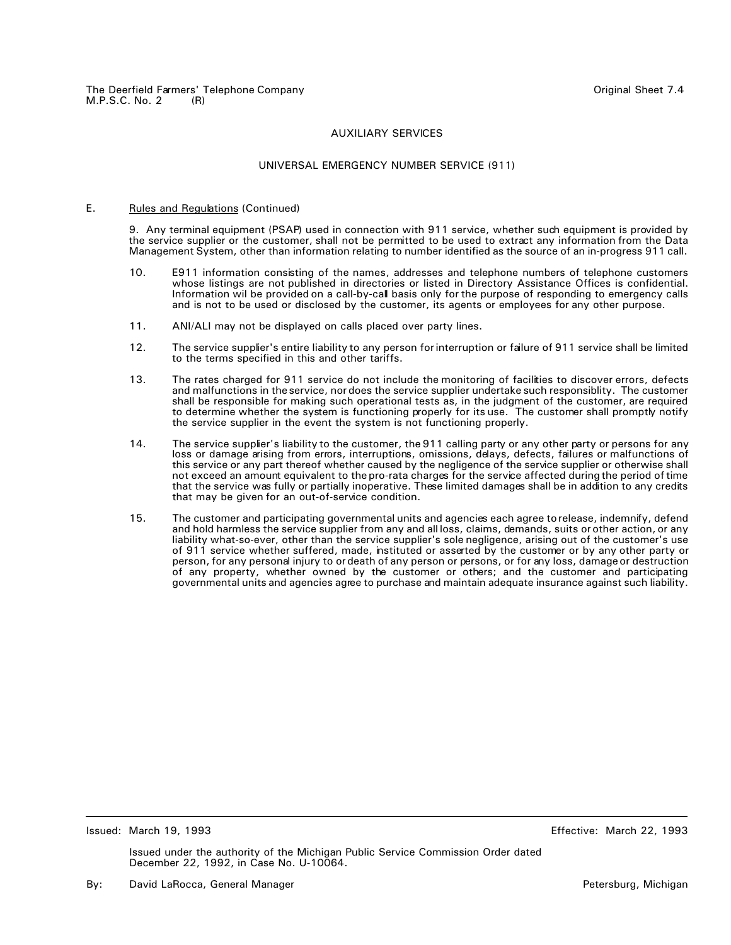## UNIVERSAL EMERGENCY NUMBER SERVICE (911)

#### E. Rules and Regulations (Continued)

9. Any terminal equipment (PSAP) used in connection with 911 service, whether such equipment is provided by the service supplier or the customer, shall not be permitted to be used to extract any information from the Data Management System, other than information relating to number identified as the source of an in-progress 911 call.

- 10. E911 information consisting of the names, addresses and telephone numbers of telephone customers whose listings are not published in directories or listed in Directory Assistance Offices is confidential. Information wil be provided on a call-by-call basis only for the purpose of responding to emergency calls and is not to be used or disclosed by the customer, its agents or employees for any other purpose.
- 11. ANI/ALI may not be displayed on calls placed over party lines.
- 12. The service supplier's entire liability to any person for interruption or failure of 911 service shall be limited to the terms specified in this and other tariffs.
- 13. The rates charged for 911 service do not include the monitoring of facilities to discover errors, defects and malfunctions in the service, nor does the service supplier undertake such responsiblity. The customer shall be responsible for making such operational tests as, in the judgment of the customer, are required to determine whether the system is functioning properly for its use. The customer shall promptly notify the service supplier in the event the system is not functioning properly.
- 14. The service supplier's liability to the customer, the 911 calling party or any other party or persons for any loss or damage arising from errors, interruptions, omissions, delays, defects, failures or malfunctions of this service or any part thereof whether caused by the negligence of the service supplier or otherwise shall not exceed an amount equivalent to the pro-rata charges for the service affected during the period of time that the service was fully or partially inoperative. These limited damages shall be in addition to any credits that may be given for an out-of-service condition.
- 15. The customer and participating governmental units and agencies each agree to release, indemnify, defend and hold harmless the service supplier from any and all loss, claims, demands, suits or other action, or any liability what-so-ever, other than the service supplier's sole negligence, arising out of the customer's use of 911 service whether suffered, made, instituted or asserted by the customer or by any other party or person, for any personal injury to or death of any person or persons, or for any loss, damage or destruction of any property, whether owned by the customer or others; and the customer and participating governmental units and agencies agree to purchase and maintain adequate insurance against such liability.

Issued: March 19, 1993 Effective: March 22, 1993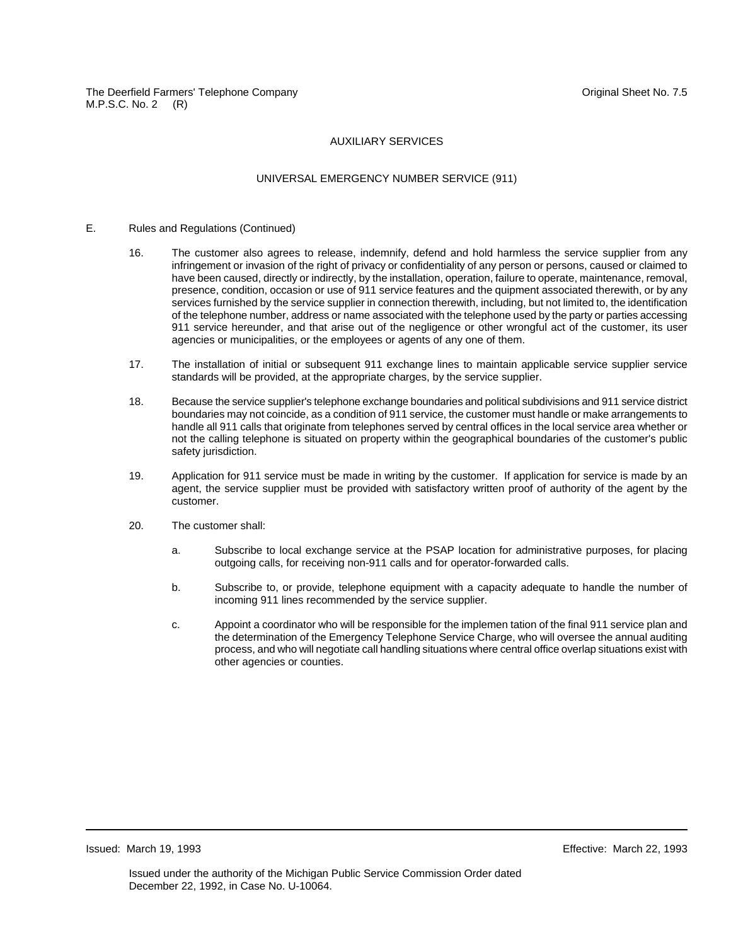## UNIVERSAL EMERGENCY NUMBER SERVICE (911)

## E. Rules and Regulations (Continued)

- 16. The customer also agrees to release, indemnify, defend and hold harmless the service supplier from any infringement or invasion of the right of privacy or confidentiality of any person or persons, caused or claimed to have been caused, directly or indirectly, by the installation, operation, failure to operate, maintenance, removal, presence, condition, occasion or use of 911 service features and the quipment associated therewith, or by any services furnished by the service supplier in connection therewith, including, but not limited to, the identification of the telephone number, address or name associated with the telephone used by the party or parties accessing 911 service hereunder, and that arise out of the negligence or other wrongful act of the customer, its user agencies or municipalities, or the employees or agents of any one of them.
- 17. The installation of initial or subsequent 911 exchange lines to maintain applicable service supplier service standards will be provided, at the appropriate charges, by the service supplier.
- 18. Because the service supplier's telephone exchange boundaries and political subdivisions and 911 service district boundaries may not coincide, as a condition of 911 service, the customer must handle or make arrangements to handle all 911 calls that originate from telephones served by central offices in the local service area whether or not the calling telephone is situated on property within the geographical boundaries of the customer's public safety jurisdiction.
- 19. Application for 911 service must be made in writing by the customer. If application for service is made by an agent, the service supplier must be provided with satisfactory written proof of authority of the agent by the customer.
- 20. The customer shall:
	- a. Subscribe to local exchange service at the PSAP location for administrative purposes, for placing outgoing calls, for receiving non-911 calls and for operator-forwarded calls.
	- b. Subscribe to, or provide, telephone equipment with a capacity adequate to handle the number of incoming 911 lines recommended by the service supplier.
	- c. Appoint a coordinator who will be responsible for the implemen tation of the final 911 service plan and the determination of the Emergency Telephone Service Charge, who will oversee the annual auditing process, and who will negotiate call handling situations where central office overlap situations exist with other agencies or counties.

Issued: March 19, 1993 Effective: March 22, 1993

Issued under the authority of the Michigan Public Service Commission Order dated December 22, 1992, in Case No. U-10064.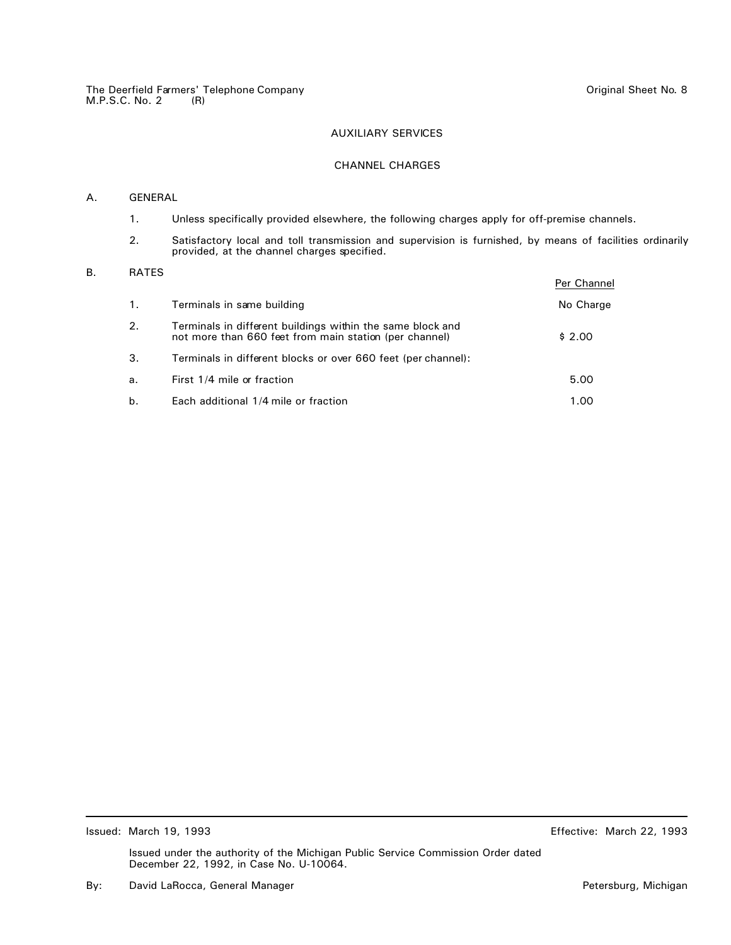## CHANNEL CHARGES

## A. GENERAL

- 1. Unless specifically provided elsewhere, the following charges apply for off-premise channels.
- 2. Satisfactory local and toll transmission and supervision is furnished, by means of facilities ordinarily provided, at the channel charges specified.

## B. RATES

|    |                                                                                                                      | Per Channel |
|----|----------------------------------------------------------------------------------------------------------------------|-------------|
| 1. | Terminals in same building                                                                                           | No Charge   |
| 2. | Terminals in different buildings within the same block and<br>not more than 660 feet from main station (per channel) | \$2.00      |
| З. | Terminals in different blocks or over 660 feet (per channel):                                                        |             |
| a. | First 1/4 mile or fraction                                                                                           | 5.00        |
| b. | Each additional 1/4 mile or fraction                                                                                 | 1.00        |

Issued: March 19, 1993 Effective: March 22, 1993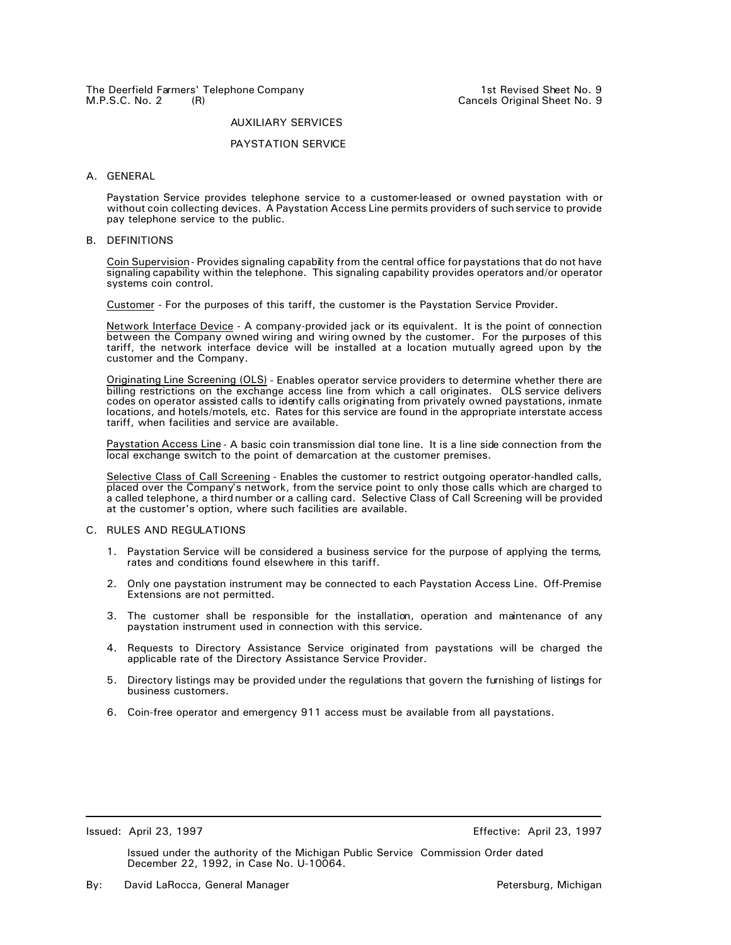# The Deerfield Farmers' Telephone Company<br>M.P.S.C. No. 2 (R) M.P.S.C. No. 2

#### AUXILIARY SERVICES

#### PAYSTATION SERVICE

#### A. GENERAL

Paystation Service provides telephone service to a customer-leased or owned paystation with or without coin collecting devices. A Paystation Access Line permits providers of such service to provide pay telephone service to the public.

## B. DEFINITIONS

Coin Supervision - Provides signaling capability from the central office for paystations that do not have signaling capability within the telephone. This signaling capability provides operators and/or operator systems coin control.

Customer - For the purposes of this tariff, the customer is the Paystation Service Provider.

Network Interface Device - A company-provided jack or its equivalent. It is the point of connection between the Company owned wiring and wiring owned by the customer. For the purposes of this tariff, the network interface device will be installed at a location mutually agreed upon by the customer and the Company.

Originating Line Screening (OLS) - Enables operator service providers to determine whether there are billing restrictions on the exchange access line from which a call originates. OLS service delivers codes on operator assisted calls to identify calls originating from privately owned paystations, inmate locations, and hotels/motels, etc. Rates for this service are found in the appropriate interstate access tariff, when facilities and service are available.

Paystation Access Line - A basic coin transmission dial tone line. It is a line side connection from the local exchange switch to the point of demarcation at the customer premises.

Selective Class of Call Screening - Enables the customer to restrict outgoing operator-handled calls, placed over the Company's network, from the service point to only those calls which are charged to a called telephone, a third number or a calling card. Selective Class of Call Screening will be provided at the customer's option, where such facilities are available.

## C. RULES AND REGULATIONS

- 1. Paystation Service will be considered a business service for the purpose of applying the terms, rates and conditions found elsewhere in this tariff.
- 2. Only one paystation instrument may be connected to each Paystation Access Line. Off-Premise Extensions are not permitted.
- 3. The customer shall be responsible for the installation, operation and maintenance of any paystation instrument used in connection with this service.
- 4. Requests to Directory Assistance Service originated from paystations will be charged the applicable rate of the Directory Assistance Service Provider.
- 5. Directory listings may be provided under the regulations that govern the furnishing of listings for business customers.
- 6. Coin-free operator and emergency 911 access must be available from all paystations.

Issued: April 23, 1997 Effective: April 23, 1997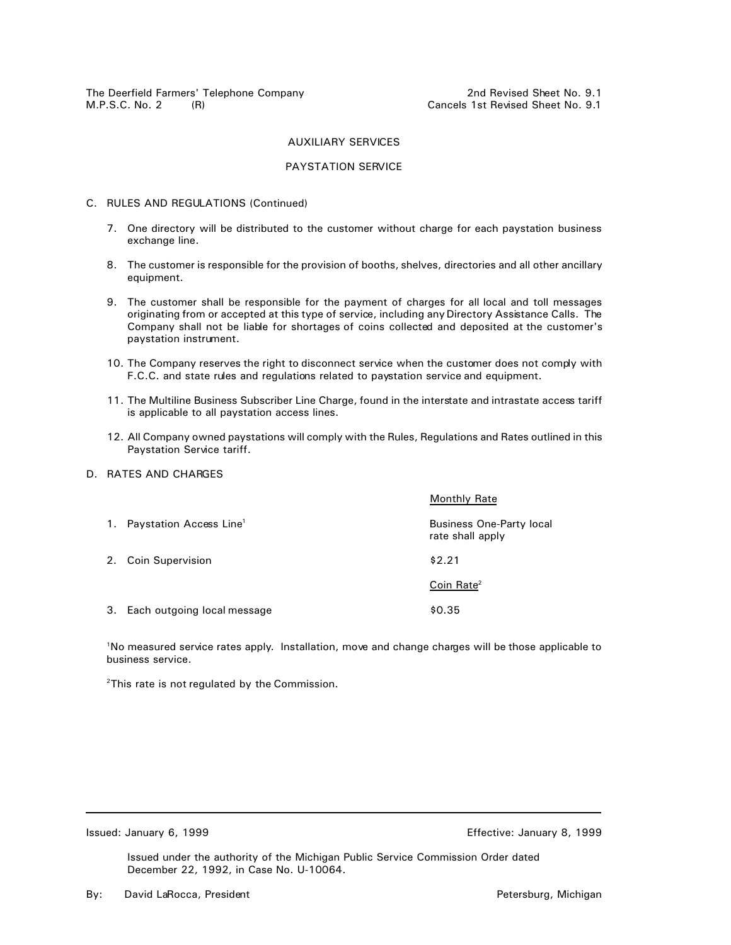The Deerfield Farmers' Telephone Company **2nd Revised Sheet No. 9.1**<br>M.P.S.C. No. 2 (R) M.P.S.C. No. 2

## AUXILIARY SERVICES

## PAYSTATION SERVICE

## C. RULES AND REGULATIONS (Continued)

- 7. One directory will be distributed to the customer without charge for each paystation business exchange line.
- 8. The customer is responsible for the provision of booths, shelves, directories and all other ancillary equipment.
- 9. The customer shall be responsible for the payment of charges for all local and toll messages originating from or accepted at this type of service, including any Directory Assistance Calls. The Company shall not be liable for shortages of coins collected and deposited at the customer's paystation instrument.
- 10. The Company reserves the right to disconnect service when the customer does not comply with F.C.C. and state rules and regulations related to paystation service and equipment.
- 11. The Multiline Business Subscriber Line Charge, found in the interstate and intrastate access tariff is applicable to all paystation access lines.
- 12. All Company owned paystations will comply with the Rules, Regulations and Rates outlined in this Paystation Service tariff.
- D. RATES AND CHARGES

|                                        | <b>Monthly Rate</b>                                 |
|----------------------------------------|-----------------------------------------------------|
| 1. Paystation Access Line <sup>1</sup> | <b>Business One-Party local</b><br>rate shall apply |
| 2. Coin Supervision                    | \$2.21                                              |
|                                        | Coin Rate <sup>2</sup>                              |
| 3. Each outgoing local message         | \$0.35                                              |

<sup>1</sup>No measured service rates apply. Installation, move and change charges will be those applicable to business service.

 $2$ This rate is not regulated by the Commission.

Issued: January 6, 1999 **In the Stronger Control of Contract Contract Contract Contract Contract Contract Contract Contract Contract Contract Contract Contract Contract Contract Contract Contract Contract Contract Contract**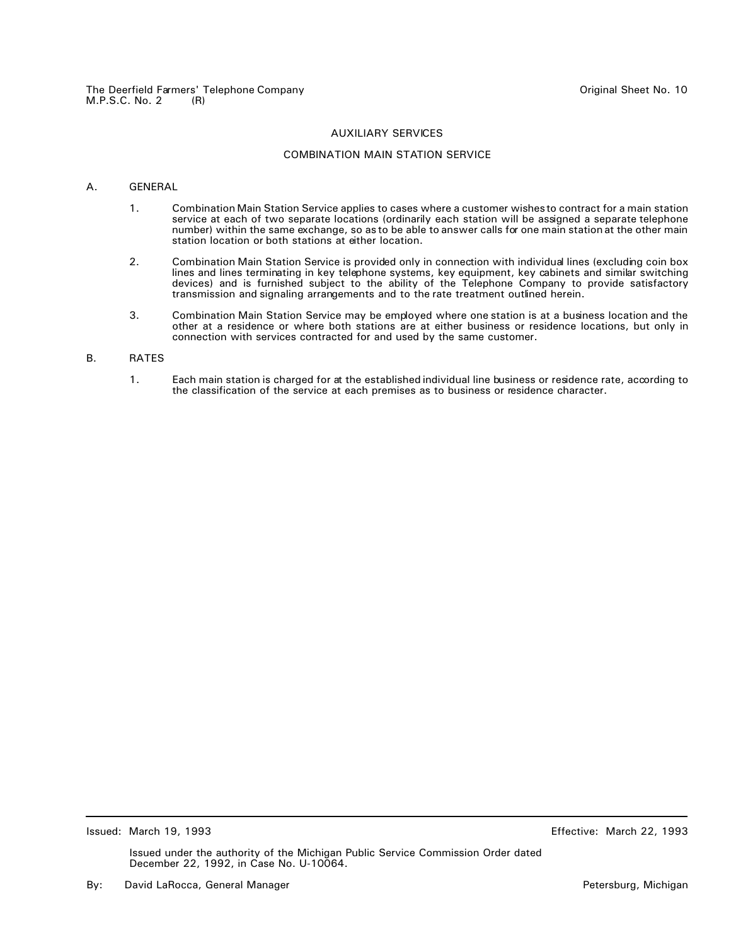## COMBINATION MAIN STATION SERVICE

## A. GENERAL

- 1. Combination Main Station Service applies to cases where a customer wishes to contract for a main station service at each of two separate locations (ordinarily each station will be assigned a separate telephone number) within the same exchange, so as to be able to answer calls for one main station at the other main station location or both stations at either location.
- 2. Combination Main Station Service is provided only in connection with individual lines (excluding coin box lines and lines terminating in key telephone systems, key equipment, key cabinets and similar switching devices) and is furnished subject to the ability of the Telephone Company to provide satisfactory transmission and signaling arrangements and to the rate treatment outlined herein.
- 3. Combination Main Station Service may be employed where one station is at a business location and the other at a residence or where both stations are at either business or residence locations, but only in connection with services contracted for and used by the same customer.

## B. RATES

1. Each main station is charged for at the established individual line business or residence rate, according to the classification of the service at each premises as to business or residence character.

Issued: March 19, 1993 Effective: March 22, 1993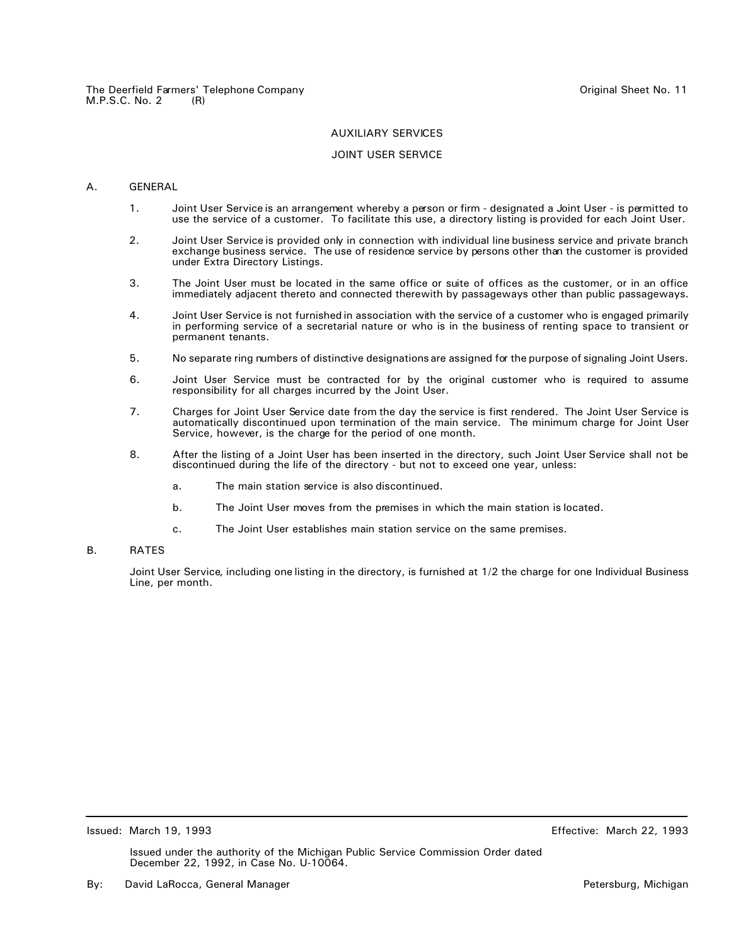## JOINT USER SERVICE

#### A. GENERAL

- 1. Joint User Service is an arrangement whereby a person or firm designated a Joint User is permitted to use the service of a customer. To facilitate this use, a directory listing is provided for each Joint User.
- 2. Joint User Service is provided only in connection with individual line business service and private branch exchange business service. The use of residence service by persons other than the customer is provided under Extra Directory Listings.
- 3. The Joint User must be located in the same office or suite of offices as the customer, or in an office immediately adjacent thereto and connected therewith by passageways other than public passageways.
- 4. Joint User Service is not furnished in association with the service of a customer who is engaged primarily in performing service of a secretarial nature or who is in the business of renting space to transient or permanent tenants.
- 5. No separate ring numbers of distinctive designations are assigned for the purpose of signaling Joint Users.
- 6. Joint User Service must be contracted for by the original customer who is required to assume responsibility for all charges incurred by the Joint User.
- 7. Charges for Joint User Service date from the day the service is first rendered. The Joint User Service is automatically discontinued upon termination of the main service. The minimum charge for Joint User Service, however, is the charge for the period of one month.
- 8. After the listing of a Joint User has been inserted in the directory, such Joint User Service shall not be discontinued during the life of the directory - but not to exceed one year, unless:
	- a. The main station service is also discontinued.
	- b. The Joint User moves from the premises in which the main station is located.
	- c. The Joint User establishes main station service on the same premises.

#### B. RATES

Joint User Service, including one listing in the directory, is furnished at 1/2 the charge for one Individual Business Line, per month.

Issued: March 19, 1993 Effective: March 22, 1993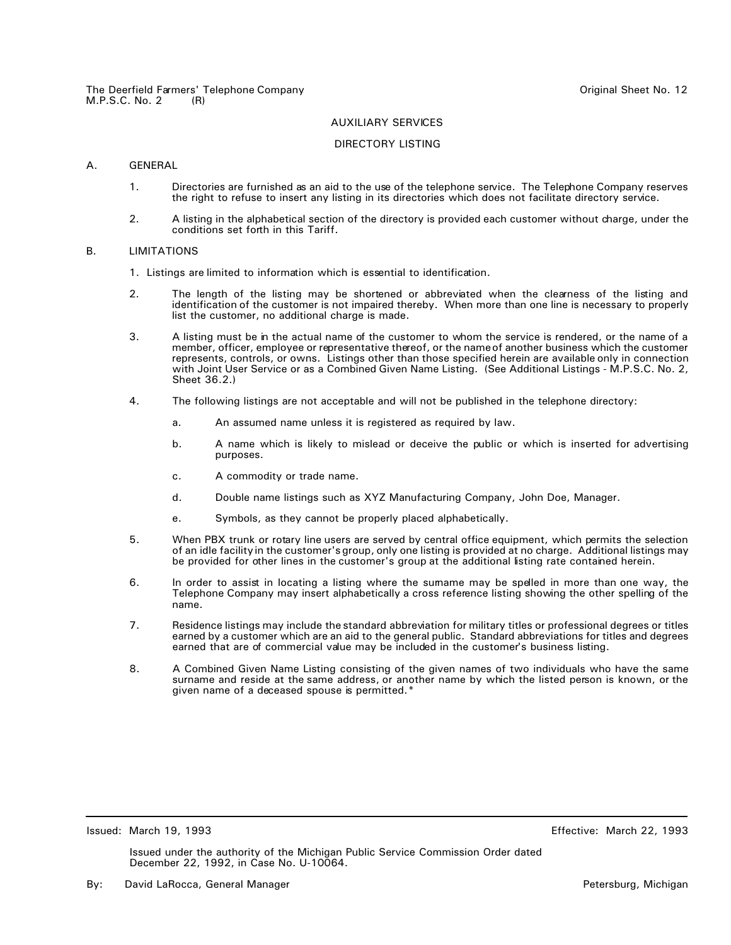## DIRECTORY LISTING

## A. GENERAL

- 1. Directories are furnished as an aid to the use of the telephone service. The Telephone Company reserves the right to refuse to insert any listing in its directories which does not facilitate directory service.
- 2. A listing in the alphabetical section of the directory is provided each customer without charge, under the conditions set forth in this Tariff.

## B. LIMITATIONS

- 1. Listings are limited to information which is essential to identification.
- 2. The length of the listing may be shortened or abbreviated when the clearness of the listing and identification of the customer is not impaired thereby. When more than one line is necessary to properly list the customer, no additional charge is made.
- 3. A listing must be in the actual name of the customer to whom the service is rendered, or the name of a member, officer, employee or representative thereof, or the name of another business which the customer represents, controls, or owns. Listings other than those specified herein are available only in connection with Joint User Service or as a Combined Given Name Listing. (See Additional Listings - M.P.S.C. No. 2, Sheet 36.2.)
- 4. The following listings are not acceptable and will not be published in the telephone directory:
	- a. An assumed name unless it is registered as required by law.
	- b. A name which is likely to mislead or deceive the public or which is inserted for advertising purposes.
	- c. A commodity or trade name.
	- d. Double name listings such as XYZ Manufacturing Company, John Doe, Manager.
	- e. Symbols, as they cannot be properly placed alphabetically.
- 5. When PBX trunk or rotary line users are served by central office equipment, which permits the selection of an idle facility in the customer's group, only one listing is provided at no charge. Additional listings may be provided for other lines in the customer's group at the additional listing rate contained herein.
- 6. In order to assist in locating a listing where the surname may be spelled in more than one way, the Telephone Company may insert alphabetically a cross reference listing showing the other spelling of the name.
- 7. Residence listings may include the standard abbreviation for military titles or professional degrees or titles earned by a customer which are an aid to the general public. Standard abbreviations for titles and degrees earned that are of commercial value may be included in the customer's business listing.
- 8. A Combined Given Name Listing consisting of the given names of two individuals who have the same surname and reside at the same address, or another name by which the listed person is known, or the given name of a deceased spouse is permitted.\*

Issued: March 19, 1993 Effective: March 22, 1993